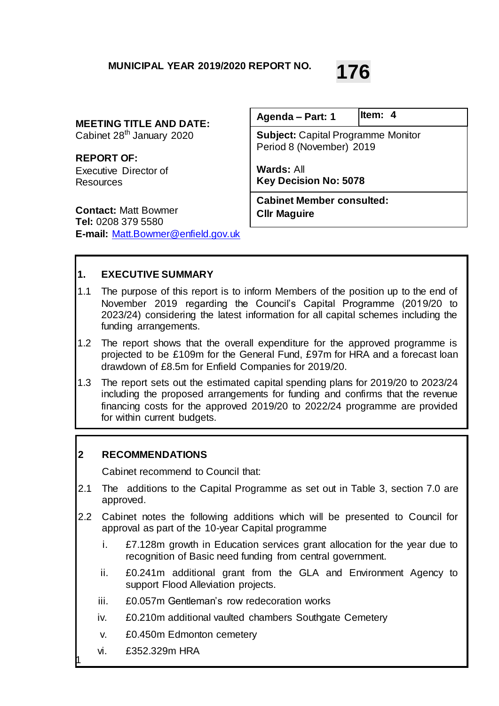# **MUNICIPAL YEAR 2019/2020 REPORT NO. 176**

**MEETING TITLE AND DATE:**

Cabinet 28<sup>th</sup> January 2020

**REPORT OF:** Executive Director of **Resources** 

**Contact:** Matt Bowmer **Tel:** 0208 379 5580 **E-mail:** [Matt.Bowmer@enfield.gov.uk](mailto:Matt.Bowmer@enfield.gov.uk)

**Subject:** Capital Programme Monitor Period 8 (November) 2019 **Wards:** All **Key Decision No: 5078 Agenda – Part: 1 Cabinet Member consulted: Cllr Maguire Item: 4**

**1. EXECUTIVE SUMMARY**

- 1.1 The purpose of this report is to inform Members of the position up to the end of November 2019 regarding the Council's Capital Programme (2019/20 to 2023/24) considering the latest information for all capital schemes including the funding arrangements.
- 1.2 The report shows that the overall expenditure for the approved programme is projected to be £109m for the General Fund, £97m for HRA and a forecast loan drawdown of £8.5m for Enfield Companies for 2019/20.
- 1.3 The report sets out the estimated capital spending plans for 2019/20 to 2023/24 including the proposed arrangements for funding and confirms that the revenue financing costs for the approved 2019/20 to 2022/24 programme are provided for within current budgets.

#### **2 RECOMMENDATIONS**

Cabinet recommend to Council that:

- 2.1 The additions to the Capital Programme as set out in Table 3, section 7.0 are approved.
- 2.2 Cabinet notes the following additions which will be presented to Council for approval as part of the 10-year Capital programme
	- i. £7.128m growth in Education services grant allocation for the year due to recognition of Basic need funding from central government.
	- ii. £0.241m additional grant from the GLA and Environment Agency to support Flood Alleviation projects.
	- iii. £0.057m Gentleman's row redecoration works
	- iv. £0.210m additional vaulted chambers Southgate Cemetery
	- v. £0.450m Edmonton cemetery
	- vi. £352.329m HRA

1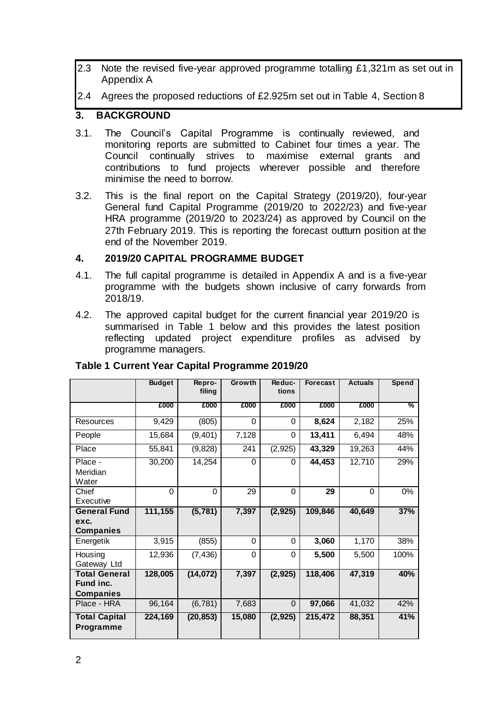2.3 Note the revised five-year approved programme totalling £1,321m as set out in Appendix A

2.4 Agrees the proposed reductions of £2.925m set out in Table 4, Section 8

#### **3. BACKGROUND**

- 3.1. The Council's Capital Programme is continually reviewed, and monitoring reports are submitted to Cabinet four times a year. The Council continually strives to maximise external grants and contributions to fund projects wherever possible and therefore minimise the need to borrow.
- 3.2. This is the final report on the Capital Strategy (2019/20), four-year General fund Capital Programme (2019/20 to 2022/23) and five-year HRA programme (2019/20 to 2023/24) as approved by Council on the 27th February 2019. This is reporting the forecast outturn position at the end of the November 2019.

#### **4. 2019/20 CAPITAL PROGRAMME BUDGET**

- 4.1. The full capital programme is detailed in Appendix A and is a five-year programme with the budgets shown inclusive of carry forwards from 2018/19.
- 4.2. The approved capital budget for the current financial year 2019/20 is summarised in Table 1 below and this provides the latest position reflecting updated project expenditure profiles as advised by programme managers.

|                                                       | <b>Budget</b> | Repro-    | <b>Growth</b> | Reduc-<br>tions | <b>Forecast</b> | <b>Actuals</b> | <b>Spend</b>  |
|-------------------------------------------------------|---------------|-----------|---------------|-----------------|-----------------|----------------|---------------|
|                                                       |               | filing    |               |                 |                 |                |               |
|                                                       | £000          | £000      | £000          | £000            | £000            | £000           | $\frac{9}{6}$ |
| <b>Resources</b>                                      | 9,429         | (805)     | 0             | 0               | 8,624           | 2,182          | 25%           |
| People                                                | 15,684        | (9, 401)  | 7,128         | 0               | 13,411          | 6,494          | 48%           |
| Place                                                 | 55,841        | (9,828)   | 241           | (2, 925)        | 43,329          | 19,263         | 44%           |
| Place -<br>Meridian<br>Water                          | 30,200        | 14,254    | $\Omega$      | $\Omega$        | 44,453          | 12,710         | 29%           |
| Chief<br>Executive                                    | $\Omega$      | $\Omega$  | 29            | $\Omega$        | 29              | $\mathbf{0}$   | 0%            |
| <b>General Fund</b>                                   | 111,155       | (5, 781)  | 7,397         | (2, 925)        | 109,846         | 40,649         | 37%           |
| exc.<br><b>Companies</b>                              |               |           |               |                 |                 |                |               |
| Energetik                                             | 3,915         | (855)     | $\Omega$      | 0               | 3,060           | 1,170          | 38%           |
| Housing<br>Gateway Ltd                                | 12,936        | (7, 436)  | $\Omega$      | 0               | 5,500           | 5,500          | 100%          |
| <b>Total General</b><br>Fund inc.<br><b>Companies</b> | 128,005       | (14, 072) | 7,397         | (2, 925)        | 118,406         | 47,319         | 40%           |
| Place - HRA                                           | 96,164        | (6, 781)  | 7,683         | $\mathbf 0$     | 97,066          | 41,032         | 42%           |
| <b>Total Capital</b><br><b>Programme</b>              | 224,169       | (20, 853) | 15,080        | (2, 925)        | 215,472         | 88,351         | 41%           |

#### **Table 1 Current Year Capital Programme 2019/20**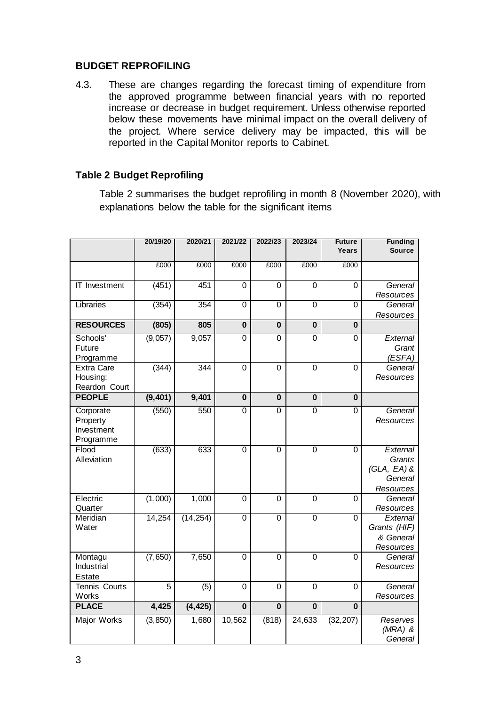#### **BUDGET REPROFILING**

4.3. These are changes regarding the forecast timing of expenditure from the approved programme between financial years with no reported increase or decrease in budget requirement. Unless otherwise reported below these movements have minimal impact on the overall delivery of the project. Where service delivery may be impacted, this will be reported in the Capital Monitor reports to Cabinet.

## **Table 2 Budget Reprofiling**

Table 2 summarises the budget reprofiling in month 8 (November 2020), with explanations below the table for the significant items

|                           | 20/19/20 | 2020/21   | 2021/22                 | 2022/23                 | 2023/24                 | <b>Future</b><br>Years  | <b>Funding</b><br><b>Source</b> |
|---------------------------|----------|-----------|-------------------------|-------------------------|-------------------------|-------------------------|---------------------------------|
|                           | £000     | £000      | £000                    | £000                    | £000                    | £000                    |                                 |
|                           |          |           |                         |                         |                         |                         |                                 |
| IT Investment             | (451)    | 451       | $\mathbf 0$             | $\mathbf 0$             | 0                       | $\mathbf 0$             | General                         |
|                           |          |           |                         |                         |                         |                         | Resources                       |
| Libraries                 | (354)    | 354       | 0                       | $\overline{0}$          | $\overline{0}$          | 0                       | General<br>Resources            |
| <b>RESOURCES</b>          | (805)    | 805       | $\mathbf 0$             | $\mathbf 0$             | $\bf{0}$                | $\bf{0}$                |                                 |
| Schools'                  | (9,057)  | 9,057     | $\overline{0}$          | $\overline{0}$          | $\overline{0}$          | $\overline{0}$          | External                        |
| Future                    |          |           |                         |                         |                         |                         | Grant                           |
| Programme                 |          |           |                         |                         |                         |                         | (ESFA)                          |
| <b>Extra Care</b>         | (344)    | 344       | 0                       | $\mathbf 0$             | $\mathbf 0$             | 0                       | General                         |
| Housing:<br>Reardon Court |          |           |                         |                         |                         |                         | Resources                       |
| <b>PEOPLE</b>             | (9, 401) | 9,401     | $\mathbf 0$             | $\mathbf 0$             | $\bf{0}$                | $\bf{0}$                |                                 |
| Corporate                 | (550)    | 550       | $\overline{0}$          | $\overline{0}$          | $\overline{0}$          | $\overline{0}$          | General                         |
| Property                  |          |           |                         |                         |                         |                         | Resources                       |
| Investment                |          |           |                         |                         |                         |                         |                                 |
| Programme                 |          |           |                         |                         |                         |                         |                                 |
| Flood                     | (633)    | 633       | $\overline{0}$          | $\overline{0}$          | $\overline{0}$          | $\overline{0}$          | External                        |
| Alleviation               |          |           |                         |                         |                         |                         | Grants                          |
|                           |          |           |                         |                         |                         |                         | $(GLA, EA)$ &<br>General        |
|                           |          |           |                         |                         |                         |                         | Resources                       |
| Electric                  | (1,000)  | 1,000     | 0                       | 0                       | $\mathbf 0$             | 0                       | General                         |
| Quarter                   |          |           |                         |                         |                         |                         | Resources                       |
| Meridian                  | 14,254   | (14, 254) | $\overline{0}$          | $\mathbf 0$             | $\mathbf 0$             | 0                       | External                        |
| Water                     |          |           |                         |                         |                         |                         | Grants (HIF)                    |
|                           |          |           |                         |                         |                         |                         | & General                       |
| Montagu                   | (7,650)  | 7,650     | $\mathbf 0$             | $\mathbf 0$             | 0                       | 0                       | Resources<br>General            |
| Industrial                |          |           |                         |                         |                         |                         | Resources                       |
| <b>Estate</b>             |          |           |                         |                         |                         |                         |                                 |
| Tennis Courts             | 5        | (5)       | 0                       | $\mathbf 0$             | $\mathbf 0$             | 0                       | General                         |
| Works                     |          |           |                         |                         |                         |                         | Resources                       |
| <b>PLACE</b>              | 4,425    | (4, 425)  | $\overline{\mathbf{0}}$ | $\overline{\mathbf{0}}$ | $\overline{\mathbf{0}}$ | $\overline{\mathbf{0}}$ |                                 |
| Major Works               | (3, 850) | 1,680     | 10,562                  | (818)                   | 24,633                  | (32, 207)               | Reserves                        |
|                           |          |           |                         |                         |                         |                         | $(MRA)$ &                       |
|                           |          |           |                         |                         |                         |                         | General                         |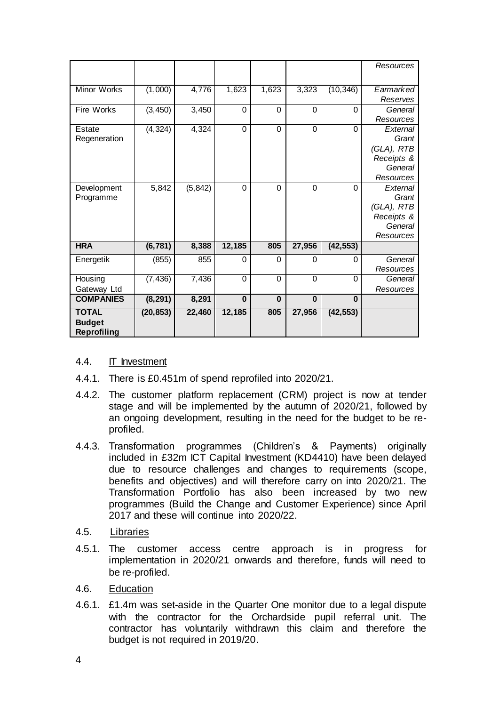|                                                     |           |          |          |             |                |              | Resources                                                             |
|-----------------------------------------------------|-----------|----------|----------|-------------|----------------|--------------|-----------------------------------------------------------------------|
| <b>Minor Works</b>                                  | (1,000)   | 4,776    | 1,623    | 1,623       | 3,323          | (10, 346)    | Earmarked<br>Reserves                                                 |
| <b>Fire Works</b>                                   | (3, 450)  | 3,450    | 0        | $\Omega$    | $\Omega$       | 0            | General<br>Resources                                                  |
| Estate<br>Regeneration                              | (4, 324)  | 4,324    | $\Omega$ | $\Omega$    | $\Omega$       | $\Omega$     | External<br>Grant<br>(GLA), RTB<br>Receipts &<br>General<br>Resources |
| Development<br>Programme                            | 5,842     | (5, 842) | $\Omega$ | $\Omega$    | $\Omega$       | $\Omega$     | External<br>Grant<br>(GLA), RTB<br>Receipts &<br>General<br>Resources |
| <b>HRA</b>                                          | (6, 781)  | 8,388    | 12,185   | 805         | 27,956         | (42, 553)    |                                                                       |
| Energetik                                           | (855)     | 855      | 0        | 0           | 0              | 0            | General<br>Resources                                                  |
| Housing<br>Gateway Ltd                              | (7, 436)  | 7,436    | $\Omega$ | $\mathbf 0$ | $\overline{0}$ | $\mathbf{0}$ | General<br>Resources                                                  |
| <b>COMPANIES</b>                                    | (8, 291)  | 8,291    | $\bf{0}$ | $\bf{0}$    | $\bf{0}$       | $\bf{0}$     |                                                                       |
| <b>TOTAL</b><br><b>Budget</b><br><b>Reprofiling</b> | (20, 853) | 22,460   | 12,185   | 805         | 27,956         | (42, 553)    |                                                                       |

#### 4.4. IT Investment

- 4.4.1. There is £0.451m of spend reprofiled into 2020/21.
- 4.4.2. The customer platform replacement (CRM) project is now at tender stage and will be implemented by the autumn of 2020/21, followed by an ongoing development, resulting in the need for the budget to be reprofiled.
- 4.4.3. Transformation programmes (Children's & Payments) originally included in £32m ICT Capital Investment (KD4410) have been delayed due to resource challenges and changes to requirements (scope, benefits and objectives) and will therefore carry on into 2020/21. The Transformation Portfolio has also been increased by two new programmes (Build the Change and Customer Experience) since April 2017 and these will continue into 2020/22.
- 4.5. Libraries
- 4.5.1. The customer access centre approach is in progress for implementation in 2020/21 onwards and therefore, funds will need to be re-profiled.
- 4.6. Education
- 4.6.1. £1.4m was set-aside in the Quarter One monitor due to a legal dispute with the contractor for the Orchardside pupil referral unit. The contractor has voluntarily withdrawn this claim and therefore the budget is not required in 2019/20.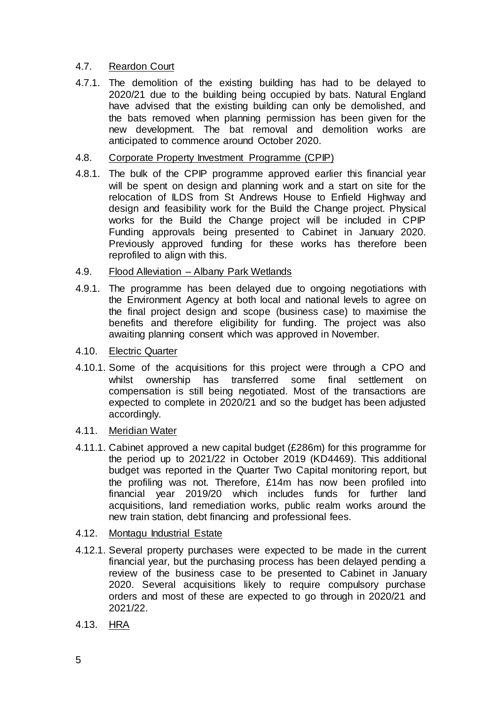#### 4.7. Reardon Court

4.7.1. The demolition of the existing building has had to be delayed to 2020/21 due to the building being occupied by bats. Natural England have advised that the existing building can only be demolished, and the bats removed when planning permission has been given for the new development. The bat removal and demolition works are anticipated to commence around October 2020.

#### 4.8. Corporate Property Investment Programme (CPIP)

4.8.1. The bulk of the CPIP programme approved earlier this financial year will be spent on design and planning work and a start on site for the relocation of ILDS from St Andrews House to Enfield Highway and design and feasibility work for the Build the Change project. Physical works for the Build the Change project will be included in CPIP Funding approvals being presented to Cabinet in January 2020. Previously approved funding for these works has therefore been reprofiled to align with this.

#### 4.9. Flood Alleviation – Albany Park Wetlands

- 4.9.1. The programme has been delayed due to ongoing negotiations with the Environment Agency at both local and national levels to agree on the final project design and scope (business case) to maximise the benefits and therefore eligibility for funding. The project was also awaiting planning consent which was approved in November.
- 4.10. Electric Quarter
- 4.10.1. Some of the acquisitions for this project were through a CPO and whilst ownership has transferred some final settlement on compensation is still being negotiated. Most of the transactions are expected to complete in 2020/21 and so the budget has been adjusted accordingly.
- 4.11. Meridian Water
- 4.11.1. Cabinet approved a new capital budget (£286m) for this programme for the period up to 2021/22 in October 2019 (KD4469). This additional budget was reported in the Quarter Two Capital monitoring report, but the profiling was not. Therefore, £14m has now been profiled into financial year 2019/20 which includes funds for further land acquisitions, land remediation works, public realm works around the new train station, debt financing and professional fees.
- 4.12. Montagu Industrial Estate
- 4.12.1. Several property purchases were expected to be made in the current financial year, but the purchasing process has been delayed pending a review of the business case to be presented to Cabinet in January 2020. Several acquisitions likely to require compulsory purchase orders and most of these are expected to go through in 2020/21 and 2021/22.
- 4.13. HRA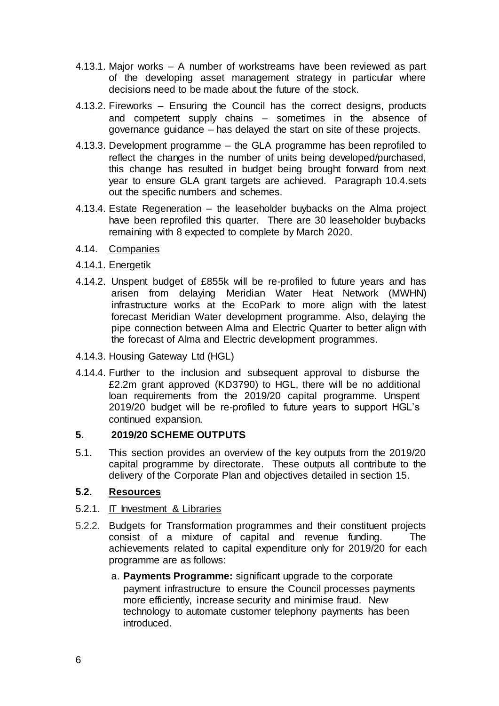- 4.13.1. Major works A number of workstreams have been reviewed as part of the developing asset management strategy in particular where decisions need to be made about the future of the stock.
- 4.13.2. Fireworks Ensuring the Council has the correct designs, products and competent supply chains – sometimes in the absence of governance guidance – has delayed the start on site of these projects.
- 4.13.3. Development programme the GLA programme has been reprofiled to reflect the changes in the number of units being developed/purchased, this change has resulted in budget being brought forward from next year to ensure GLA grant targets are achieved. Paragraph 10.4.sets out the specific numbers and schemes.
- 4.13.4. Estate Regeneration the leaseholder buybacks on the Alma project have been reprofiled this quarter. There are 30 leaseholder buybacks remaining with 8 expected to complete by March 2020.
- 4.14. Companies
- 4.14.1. Energetik
- 4.14.2. Unspent budget of £855k will be re-profiled to future years and has arisen from delaying Meridian Water Heat Network (MWHN) infrastructure works at the EcoPark to more align with the latest forecast Meridian Water development programme. Also, delaying the pipe connection between Alma and Electric Quarter to better align with the forecast of Alma and Electric development programmes.
- 4.14.3. Housing Gateway Ltd (HGL)
- 4.14.4. Further to the inclusion and subsequent approval to disburse the £2.2m grant approved (KD3790) to HGL, there will be no additional loan requirements from the 2019/20 capital programme. Unspent 2019/20 budget will be re-profiled to future years to support HGL's continued expansion.

#### **5. 2019/20 SCHEME OUTPUTS**

5.1. This section provides an overview of the key outputs from the 2019/20 capital programme by directorate. These outputs all contribute to the delivery of the Corporate Plan and objectives detailed in section 15.

#### **5.2. Resources**

#### 5.2.1. IT Investment & Libraries

- 5.2.2. Budgets for Transformation programmes and their constituent projects consist of a mixture of capital and revenue funding. The achievements related to capital expenditure only for 2019/20 for each programme are as follows:
	- a. **Payments Programme:** significant upgrade to the corporate payment infrastructure to ensure the Council processes payments more efficiently, increase security and minimise fraud. New technology to automate customer telephony payments has been introduced.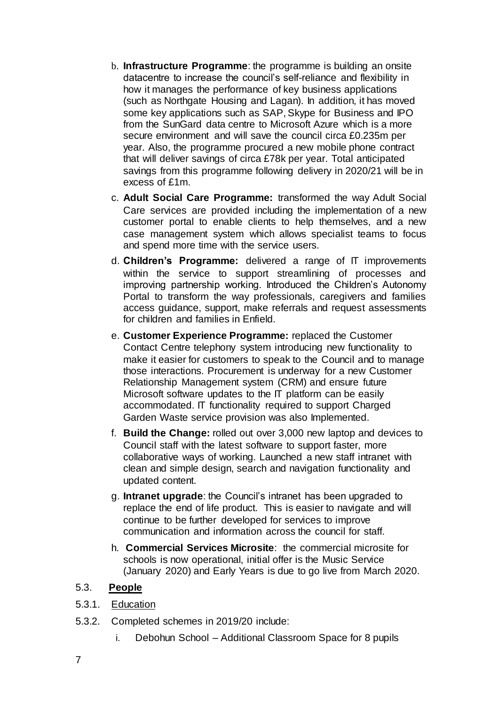- b. **Infrastructure Programme**: the programme is building an onsite datacentre to increase the council's self-reliance and flexibility in how it manages the performance of key business applications (such as Northgate Housing and Lagan). In addition, it has moved some key applications such as SAP, Skype for Business and IPO from the SunGard data centre to Microsoft Azure which is a more secure environment and will save the council circa £0.235m per year. Also, the programme procured a new mobile phone contract that will deliver savings of circa £78k per year. Total anticipated savings from this programme following delivery in 2020/21 will be in excess of £1m.
- c. **Adult Social Care Programme:** transformed the way Adult Social Care services are provided including the implementation of a new customer portal to enable clients to help themselves, and a new case management system which allows specialist teams to focus and spend more time with the service users.
- d. **Children's Programme:** delivered a range of IT improvements within the service to support streamlining of processes and improving partnership working. Introduced the Children's Autonomy Portal to transform the way professionals, caregivers and families access guidance, support, make referrals and request assessments for children and families in Enfield.
- e. **Customer Experience Programme:** replaced the Customer Contact Centre telephony system introducing new functionality to make it easier for customers to speak to the Council and to manage those interactions. Procurement is underway for a new Customer Relationship Management system (CRM) and ensure future Microsoft software updates to the IT platform can be easily accommodated. IT functionality required to support Charged Garden Waste service provision was also Implemented.
- f. **Build the Change:** rolled out over 3,000 new laptop and devices to Council staff with the latest software to support faster, more collaborative ways of working. Launched a new staff intranet with clean and simple design, search and navigation functionality and updated content.
- g. **Intranet upgrade**: the Council's intranet has been upgraded to replace the end of life product. This is easier to navigate and will continue to be further developed for services to improve communication and information across the council for staff.
- h. **Commercial Services Microsite**: the commercial microsite for schools is now operational, initial offer is the Music Service (January 2020) and Early Years is due to go live from March 2020.

#### 5.3. **People**

- 5.3.1. Education
- 5.3.2. Completed schemes in 2019/20 include:
	- i. Debohun School Additional Classroom Space for 8 pupils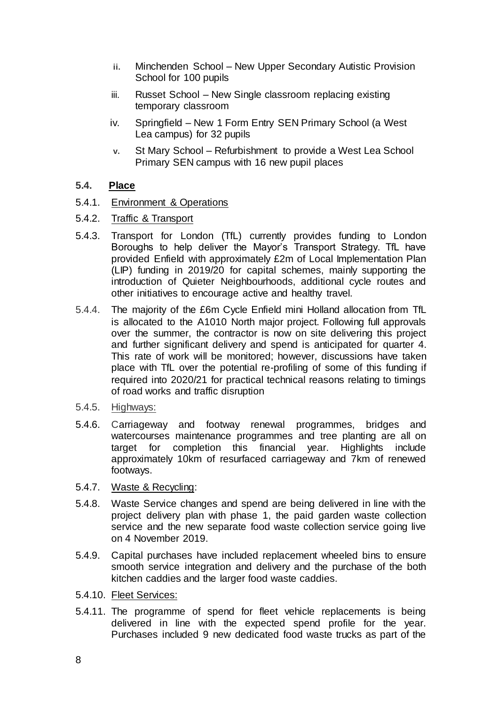- **ii.** Minchenden School New Upper Secondary Autistic Provision School for 100 pupils
- iii. Russet School New Single classroom replacing existing temporary classroom
- iv. Springfield New 1 Form Entry SEN Primary School (a West Lea campus) for 32 pupils
- **v.** St Mary School Refurbishment to provide a West Lea School Primary SEN campus with 16 new pupil places

#### **5.4. Place**

- 5.4.1. Environment & Operations
- 5.4.2. Traffic & Transport
- 5.4.3. Transport for London (TfL) currently provides funding to London Boroughs to help deliver the Mayor's Transport Strategy. TfL have provided Enfield with approximately £2m of Local Implementation Plan (LIP) funding in 2019/20 for capital schemes, mainly supporting the introduction of Quieter Neighbourhoods, additional cycle routes and other initiatives to encourage active and healthy travel.
- 5.4.4. The majority of the £6m Cycle Enfield mini Holland allocation from TfL is allocated to the A1010 North major project. Following full approvals over the summer, the contractor is now on site delivering this project and further significant delivery and spend is anticipated for quarter 4. This rate of work will be monitored; however, discussions have taken place with TfL over the potential re-profiling of some of this funding if required into 2020/21 for practical technical reasons relating to timings of road works and traffic disruption
- 5.4.5. Highways:
- 5.4.6. Carriageway and footway renewal programmes, bridges and watercourses maintenance programmes and tree planting are all on target for completion this financial year. Highlights include approximately 10km of resurfaced carriageway and 7km of renewed footways.
- 5.4.7. Waste & Recycling:
- 5.4.8. Waste Service changes and spend are being delivered in line with the project delivery plan with phase 1, the paid garden waste collection service and the new separate food waste collection service going live on 4 November 2019.
- 5.4.9. Capital purchases have included replacement wheeled bins to ensure smooth service integration and delivery and the purchase of the both kitchen caddies and the larger food waste caddies.
- 5.4.10. Fleet Services:
- 5.4.11. The programme of spend for fleet vehicle replacements is being delivered in line with the expected spend profile for the year. Purchases included 9 new dedicated food waste trucks as part of the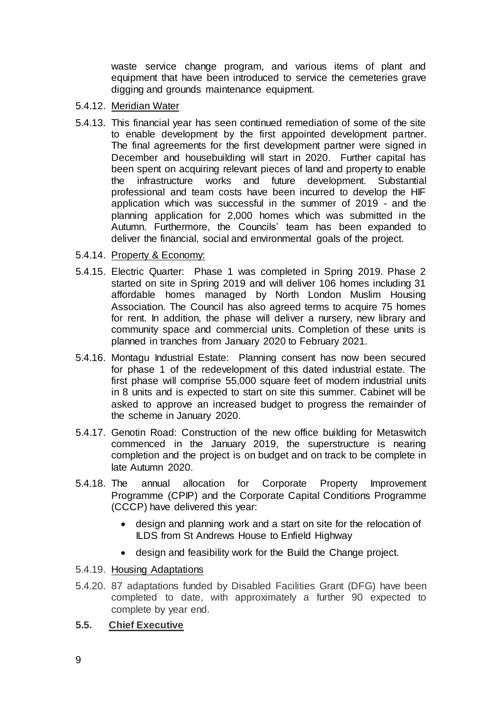waste service change program, and various items of plant and equipment that have been introduced to service the cemeteries grave digging and grounds maintenance equipment.

- 5.4.12. Meridian Water
- 5.4.13. This financial year has seen continued remediation of some of the site to enable development by the first appointed development partner. The final agreements for the first development partner were signed in December and housebuilding will start in 2020. Further capital has been spent on acquiring relevant pieces of land and property to enable the infrastructure works and future development. Substantial professional and team costs have been incurred to develop the HIF application which was successful in the summer of 2019 - and the planning application for 2,000 homes which was submitted in the Autumn. Furthermore, the Councils' team has been expanded to deliver the financial, social and environmental goals of the project.
- 5.4.14. Property & Economy:
- 5.4.15. Electric Quarter: Phase 1 was completed in Spring 2019. Phase 2 started on site in Spring 2019 and will deliver 106 homes including 31 affordable homes managed by North London Muslim Housing Association. The Council has also agreed terms to acquire 75 homes for rent. In addition, the phase will deliver a nursery, new library and community space and commercial units. Completion of these units is planned in tranches from January 2020 to February 2021.
- 5.4.16. Montagu Industrial Estate: Planning consent has now been secured for phase 1 of the redevelopment of this dated industrial estate. The first phase will comprise 55,000 square feet of modern industrial units in 8 units and is expected to start on site this summer. Cabinet will be asked to approve an increased budget to progress the remainder of the scheme in January 2020.
- 5.4.17. Genotin Road: Construction of the new office building for Metaswitch commenced in the January 2019, the superstructure is nearing completion and the project is on budget and on track to be complete in late Autumn 2020.
- 5.4.18. The annual allocation for Corporate Property Improvement Programme (CPIP) and the Corporate Capital Conditions Programme (CCCP) have delivered this year:
	- design and planning work and a start on site for the relocation of ILDS from St Andrews House to Enfield Highway
	- design and feasibility work for the Build the Change project.
- 5.4.19. Housing Adaptations
- 5.4.20. 87 adaptations funded by Disabled Facilities Grant (DFG) have been completed to date, with approximately a further 90 expected to complete by year end.
- **5.5. Chief Executive**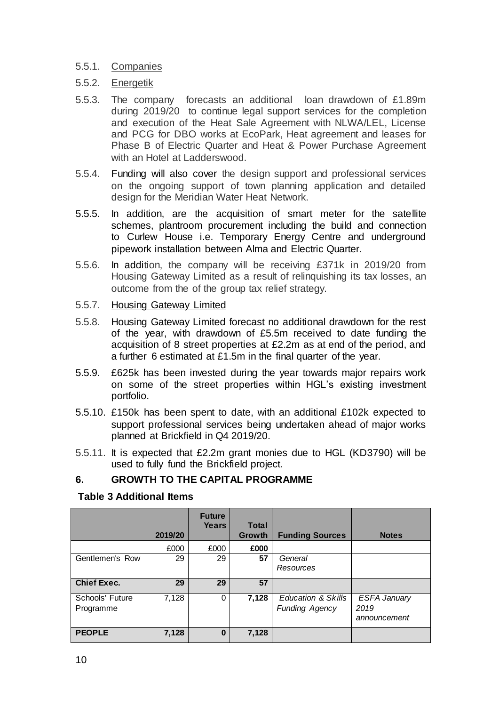#### 5.5.1. Companies

- 5.5.2. Energetik
- 5.5.3. The company forecasts an additional loan drawdown of £1.89m during 2019/20 to continue legal support services for the completion and execution of the Heat Sale Agreement with NLWA/LEL, License and PCG for DBO works at EcoPark, Heat agreement and leases for Phase B of Electric Quarter and Heat & Power Purchase Agreement with an Hotel at Ladderswood.
- 5.5.4. Funding will also cover the design support and professional services on the ongoing support of town planning application and detailed design for the Meridian Water Heat Network.
- 5.5.5. In addition, are the acquisition of smart meter for the satellite schemes, plantroom procurement including the build and connection to Curlew House i.e. Temporary Energy Centre and underground pipework installation between Alma and Electric Quarter.
- 5.5.6. In addition, the company will be receiving £371k in 2019/20 from Housing Gateway Limited as a result of relinquishing its tax losses, an outcome from the of the group tax relief strategy.
- 5.5.7. Housing Gateway Limited
- 5.5.8. Housing Gateway Limited forecast no additional drawdown for the rest of the year, with drawdown of £5.5m received to date funding the acquisition of 8 street properties at £2.2m as at end of the period, and a further 6 estimated at £1.5m in the final quarter of the year.
- 5.5.9. £625k has been invested during the year towards major repairs work on some of the street properties within HGL's existing investment portfolio.
- 5.5.10. £150k has been spent to date, with an additional £102k expected to support professional services being undertaken ahead of major works planned at Brickfield in Q4 2019/20.
- 5.5.11. It is expected that £2.2m grant monies due to HGL (KD3790) will be used to fully fund the Brickfield project.

## **6. GROWTH TO THE CAPITAL PROGRAMME**

#### **Table 3 Additional Items**

|                              | 2019/20 | <b>Future</b><br>Years | <b>Total</b><br>Growth | <b>Funding Sources</b>                      | <b>Notes</b>                                |
|------------------------------|---------|------------------------|------------------------|---------------------------------------------|---------------------------------------------|
|                              | £000    | £000                   | £000                   |                                             |                                             |
| Gentlemen's Row              | 29      | 29                     | 57                     | General<br>Resources                        |                                             |
| <b>Chief Exec.</b>           | 29      | 29                     | 57                     |                                             |                                             |
| Schools' Future<br>Programme | 7,128   | 0                      | 7,128                  | Education & Skills<br><b>Funding Agency</b> | <b>ESFA January</b><br>2019<br>announcement |
| <b>PEOPLE</b>                | 7,128   | $\bf{0}$               | 7,128                  |                                             |                                             |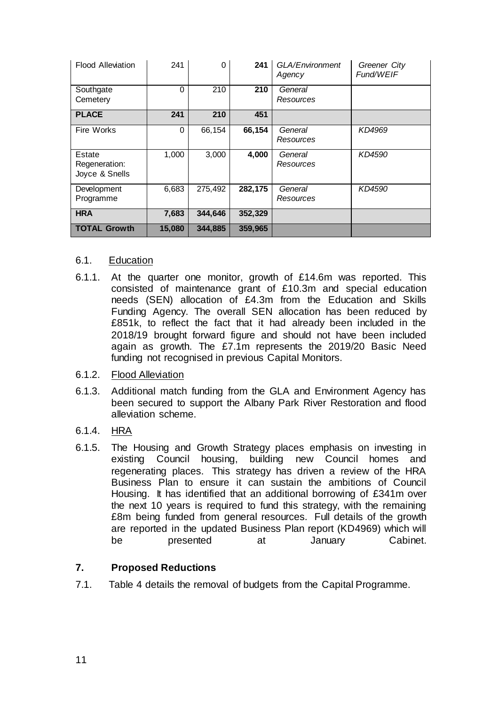| <b>Flood Alleviation</b>                  | 241      | $\Omega$ | 241     | GLA/Environment<br>Agency | Greener City<br>Fund/WEIF |
|-------------------------------------------|----------|----------|---------|---------------------------|---------------------------|
| Southgate<br>Cemetery                     | $\Omega$ | 210      | 210     | General<br>Resources      |                           |
| <b>PLACE</b>                              | 241      | 210      | 451     |                           |                           |
| Fire Works                                | $\Omega$ | 66,154   | 66,154  | General<br>Resources      | KD4969                    |
| Estate<br>Regeneration:<br>Joyce & Snells | 1,000    | 3,000    | 4,000   | General<br>Resources      | KD4590                    |
| Development<br>Programme                  | 6,683    | 275,492  | 282,175 | General<br>Resources      | KD4590                    |
| <b>HRA</b>                                | 7,683    | 344,646  | 352,329 |                           |                           |
| <b>TOTAL Growth</b>                       | 15,080   | 344,885  | 359,965 |                           |                           |

#### 6.1. Education

- 6.1.1. At the quarter one monitor, growth of £14.6m was reported. This consisted of maintenance grant of £10.3m and special education needs (SEN) allocation of £4.3m from the Education and Skills Funding Agency. The overall SEN allocation has been reduced by £851k, to reflect the fact that it had already been included in the 2018/19 brought forward figure and should not have been included again as growth. The £7.1m represents the 2019/20 Basic Need funding not recognised in previous Capital Monitors.
- 6.1.2. Flood Alleviation
- 6.1.3. Additional match funding from the GLA and Environment Agency has been secured to support the Albany Park River Restoration and flood alleviation scheme.
- 6.1.4. HRA
- 6.1.5. The Housing and Growth Strategy places emphasis on investing in existing Council housing, building new Council homes and regenerating places. This strategy has driven a review of the HRA Business Plan to ensure it can sustain the ambitions of Council Housing. It has identified that an additional borrowing of £341m over the next 10 years is required to fund this strategy, with the remaining £8m being funded from general resources. Full details of the growth are reported in the updated Business Plan report (KD4969) which will be presented at January Cabinet.

## **7. Proposed Reductions**

7.1. Table 4 details the removal of budgets from the Capital Programme.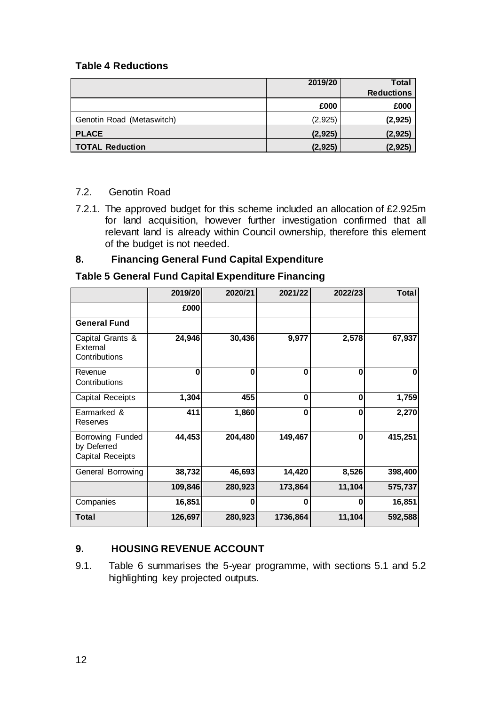#### **Table 4 Reductions**

|                           | 2019/20  | <b>Total</b>      |
|---------------------------|----------|-------------------|
|                           |          | <b>Reductions</b> |
|                           | £000     | £000              |
| Genotin Road (Metaswitch) | (2,925)  | (2, 925)          |
| <b>PLACE</b>              | (2, 925) | (2, 925)          |
| <b>TOTAL Reduction</b>    | (2, 925) | (2, 925)          |

#### 7.2. Genotin Road

7.2.1. The approved budget for this scheme included an allocation of £2.925m for land acquisition, however further investigation confirmed that all relevant land is already within Council ownership, therefore this element of the budget is not needed.

#### **8. Financing General Fund Capital Expenditure**

#### **Table 5 General Fund Capital Expenditure Financing**

|                                                     | 2019/20 | 2020/21  | 2021/22  | 2022/23  | <b>Total</b> |
|-----------------------------------------------------|---------|----------|----------|----------|--------------|
|                                                     | £000    |          |          |          |              |
| <b>General Fund</b>                                 |         |          |          |          |              |
| Capital Grants &<br>External<br>Contributions       | 24,946  | 30,436   | 9,977    | 2,578    | 67,937       |
| Revenue<br>Contributions                            | 0       | $\bf{0}$ | 0        | 0        | O            |
| Capital Receipts                                    | 1,304   | 455      | $\bf{0}$ | $\bf{0}$ | 1,759        |
| Earmarked &<br>Reserves                             | 411     | 1,860    | $\bf{0}$ | 0        | 2,270        |
| Borrowing Funded<br>by Deferred<br>Capital Receipts | 44,453  | 204,480  | 149,467  | $\bf{0}$ | 415,251      |
| General Borrowing                                   | 38,732  | 46,693   | 14,420   | 8,526    | 398,400      |
|                                                     | 109,846 | 280,923  | 173,864  | 11,104   | 575,737      |
| Companies                                           | 16,851  | O        | $\bf{0}$ | 0        | 16,851       |
| Total                                               | 126,697 | 280,923  | 1736,864 | 11,104   | 592,588      |

## **9. HOUSING REVENUE ACCOUNT**

9.1. Table 6 summarises the 5-year programme, with sections 5.1 and 5.2 highlighting key projected outputs.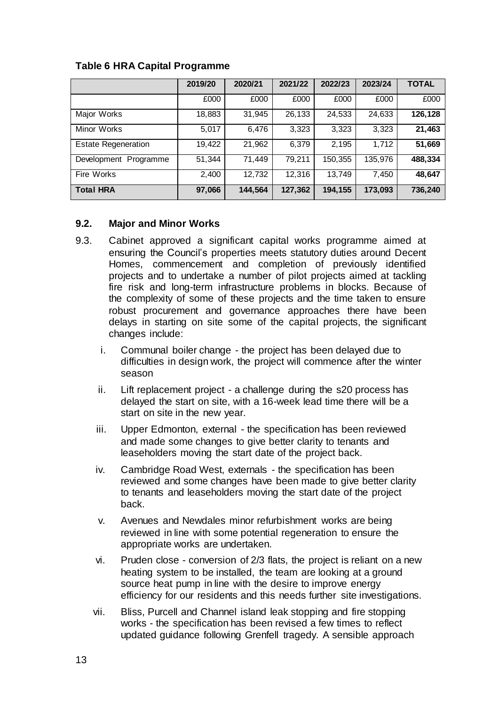|                            | 2019/20 | 2020/21 | 2021/22 | 2022/23 | 2023/24 | <b>TOTAL</b> |
|----------------------------|---------|---------|---------|---------|---------|--------------|
|                            | £000    | £000    | £000    | £000    | £000    | £000         |
| Major Works                | 18,883  | 31,945  | 26,133  | 24,533  | 24,633  | 126,128      |
| Minor Works                | 5,017   | 6,476   | 3,323   | 3,323   | 3,323   | 21,463       |
| <b>Estate Regeneration</b> | 19,422  | 21,962  | 6,379   | 2,195   | 1,712   | 51,669       |
| Development Programme      | 51,344  | 71,449  | 79,211  | 150,355 | 135,976 | 488,334      |
| Fire Works                 | 2,400   | 12,732  | 12,316  | 13,749  | 7,450   | 48,647       |
| <b>Total HRA</b>           | 97,066  | 144,564 | 127,362 | 194,155 | 173,093 | 736,240      |

#### **Table 6 HRA Capital Programme**

#### **9.2. Major and Minor Works**

- 9.3. Cabinet approved a significant capital works programme aimed at ensuring the Council's properties meets statutory duties around Decent Homes, commencement and completion of previously identified projects and to undertake a number of pilot projects aimed at tackling fire risk and long-term infrastructure problems in blocks. Because of the complexity of some of these projects and the time taken to ensure robust procurement and governance approaches there have been delays in starting on site some of the capital projects, the significant changes include:
	- i. Communal boiler change the project has been delayed due to difficulties in design work, the project will commence after the winter season
	- ii. Lift replacement project a challenge during the s20 process has delayed the start on site, with a 16-week lead time there will be a start on site in the new year.
	- iii. Upper Edmonton, external the specification has been reviewed and made some changes to give better clarity to tenants and leaseholders moving the start date of the project back.
	- iv. Cambridge Road West, externals the specification has been reviewed and some changes have been made to give better clarity to tenants and leaseholders moving the start date of the project back.
	- v. Avenues and Newdales minor refurbishment works are being reviewed in line with some potential regeneration to ensure the appropriate works are undertaken.
	- vi. Pruden close conversion of 2/3 flats, the project is reliant on a new heating system to be installed, the team are looking at a ground source heat pump in line with the desire to improve energy efficiency for our residents and this needs further site investigations.
	- vii. Bliss, Purcell and Channel island leak stopping and fire stopping works - the specification has been revised a few times to reflect updated guidance following Grenfell tragedy. A sensible approach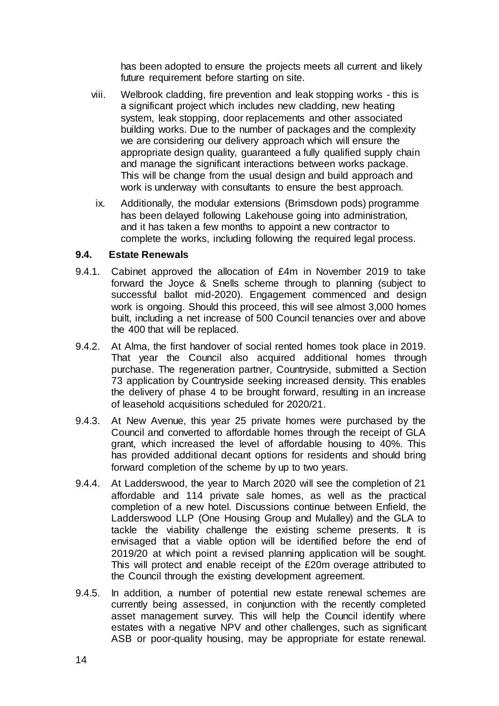has been adopted to ensure the projects meets all current and likely future requirement before starting on site.

- viii. Welbrook cladding, fire prevention and leak stopping works this is a significant project which includes new cladding, new heating system, leak stopping, door replacements and other associated building works. Due to the number of packages and the complexity we are considering our delivery approach which will ensure the appropriate design quality, quaranteed a fully qualified supply chain and manage the significant interactions between works package. This will be change from the usual design and build approach and work is underway with consultants to ensure the best approach.
- ix. Additionally, the modular extensions (Brimsdown pods) programme has been delayed following Lakehouse going into administration, and it has taken a few months to appoint a new contractor to complete the works, including following the required legal process.

#### **9.4. Estate Renewals**

- 9.4.1. Cabinet approved the allocation of £4m in November 2019 to take forward the Joyce & Snells scheme through to planning (subject to successful ballot mid-2020). Engagement commenced and design work is ongoing. Should this proceed, this will see almost 3,000 homes built, including a net increase of 500 Council tenancies over and above the 400 that will be replaced.
- 9.4.2. At Alma, the first handover of social rented homes took place in 2019. That year the Council also acquired additional homes through purchase. The regeneration partner, Countryside, submitted a Section 73 application by Countryside seeking increased density. This enables the delivery of phase 4 to be brought forward, resulting in an increase of leasehold acquisitions scheduled for 2020/21.
- 9.4.3. At New Avenue, this year 25 private homes were purchased by the Council and converted to affordable homes through the receipt of GLA grant, which increased the level of affordable housing to 40%. This has provided additional decant options for residents and should bring forward completion of the scheme by up to two years.
- 9.4.4. At Ladderswood, the year to March 2020 will see the completion of 21 affordable and 114 private sale homes, as well as the practical completion of a new hotel. Discussions continue between Enfield, the Ladderswood LLP (One Housing Group and Mulalley) and the GLA to tackle the viability challenge the existing scheme presents. It is envisaged that a viable option will be identified before the end of 2019/20 at which point a revised planning application will be sought. This will protect and enable receipt of the £20m overage attributed to the Council through the existing development agreement.
- 9.4.5. In addition, a number of potential new estate renewal schemes are currently being assessed, in conjunction with the recently completed asset management survey. This will help the Council identify where estates with a negative NPV and other challenges, such as significant ASB or poor-quality housing, may be appropriate for estate renewal.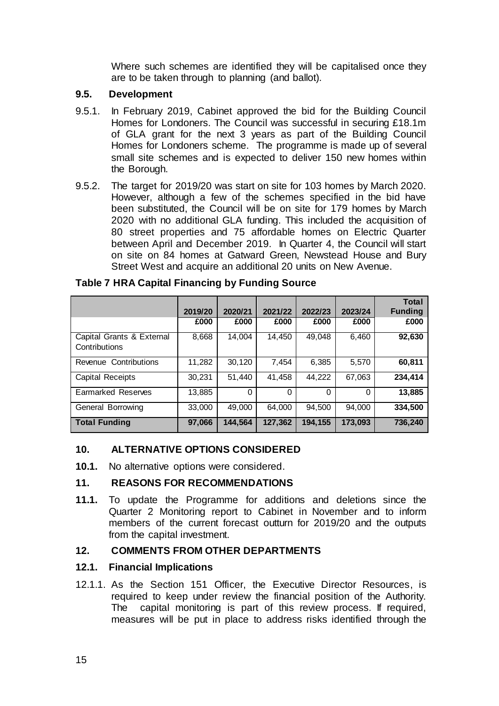Where such schemes are identified they will be capitalised once they are to be taken through to planning (and ballot).

#### **9.5. Development**

- 9.5.1. In February 2019, Cabinet approved the bid for the Building Council Homes for Londoners. The Council was successful in securing £18.1m of GLA grant for the next 3 years as part of the Building Council Homes for Londoners scheme. The programme is made up of several small site schemes and is expected to deliver 150 new homes within the Borough.
- 9.5.2. The target for 2019/20 was start on site for 103 homes by March 2020. However, although a few of the schemes specified in the bid have been substituted, the Council will be on site for 179 homes by March 2020 with no additional GLA funding. This included the acquisition of 80 street properties and 75 affordable homes on Electric Quarter between April and December 2019. In Quarter 4, the Council will start on site on 84 homes at Gatward Green, Newstead House and Bury Street West and acquire an additional 20 units on New Avenue.

|                                            | 2019/20 | 2020/21 | 2021/22 | 2022/23  | 2023/24  | <b>Total</b><br><b>Funding</b> |
|--------------------------------------------|---------|---------|---------|----------|----------|--------------------------------|
|                                            | £000    | £000    | £000    | £000     | £000     | £000                           |
| Capital Grants & External<br>Contributions | 8,668   | 14,004  | 14,450  | 49,048   | 6,460    | 92,630                         |
| Revenue Contributions                      | 11,282  | 30,120  | 7,454   | 6,385    | 5,570    | 60,811                         |
| Capital Receipts                           | 30,231  | 51,440  | 41,458  | 44,222   | 67,063   | 234,414                        |
| Earmarked Reserves                         | 13,885  | 0       | 0       | $\Omega$ | $\Omega$ | 13,885                         |
| General Borrowing                          | 33,000  | 49,000  | 64.000  | 94,500   | 94,000   | 334,500                        |
| <b>Total Funding</b>                       | 97,066  | 144,564 | 127,362 | 194,155  | 173,093  | 736,240                        |

#### **Table 7 HRA Capital Financing by Funding Source**

#### **10. ALTERNATIVE OPTIONS CONSIDERED**

**10.1.** No alternative options were considered.

#### **11. REASONS FOR RECOMMENDATIONS**

**11.1.** To update the Programme for additions and deletions since the Quarter 2 Monitoring report to Cabinet in November and to inform members of the current forecast outturn for 2019/20 and the outputs from the capital investment.

#### **12. COMMENTS FROM OTHER DEPARTMENTS**

#### **12.1. Financial Implications**

12.1.1. As the Section 151 Officer, the Executive Director Resources, is required to keep under review the financial position of the Authority. The capital monitoring is part of this review process. If required, measures will be put in place to address risks identified through the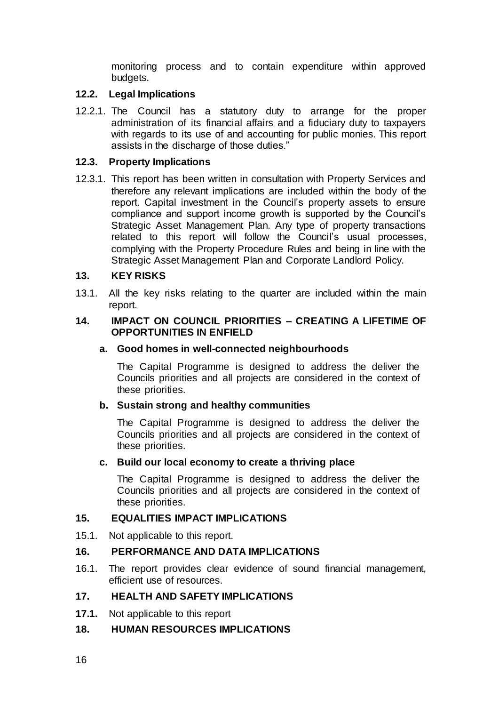monitoring process and to contain expenditure within approved budgets.

#### **12.2. Legal Implications**

12.2.1. The Council has a statutory duty to arrange for the proper administration of its financial affairs and a fiduciary duty to taxpayers with regards to its use of and accounting for public monies. This report assists in the discharge of those duties."

#### **12.3. Property Implications**

12.3.1. This report has been written in consultation with Property Services and therefore any relevant implications are included within the body of the report. Capital investment in the Council's property assets to ensure compliance and support income growth is supported by the Council's Strategic Asset Management Plan. Any type of property transactions related to this report will follow the Council's usual processes, complying with the Property Procedure Rules and being in line with the Strategic Asset Management Plan and Corporate Landlord Policy.

#### **13. KEY RISKS**

13.1. All the key risks relating to the quarter are included within the main report.

#### **14. IMPACT ON COUNCIL PRIORITIES – CREATING A LIFETIME OF OPPORTUNITIES IN ENFIELD**

#### **a. Good homes in well-connected neighbourhoods**

The Capital Programme is designed to address the deliver the Councils priorities and all projects are considered in the context of these priorities.

#### **b. Sustain strong and healthy communities**

The Capital Programme is designed to address the deliver the Councils priorities and all projects are considered in the context of these priorities.

#### **c. Build our local economy to create a thriving place**

The Capital Programme is designed to address the deliver the Councils priorities and all projects are considered in the context of these priorities.

#### **15. EQUALITIES IMPACT IMPLICATIONS**

15.1. Not applicable to this report.

## **16. PERFORMANCE AND DATA IMPLICATIONS**

16.1. The report provides clear evidence of sound financial management, efficient use of resources.

#### **17. HEALTH AND SAFETY IMPLICATIONS**

**17.1.** Not applicable to this report

#### **18. HUMAN RESOURCES IMPLICATIONS**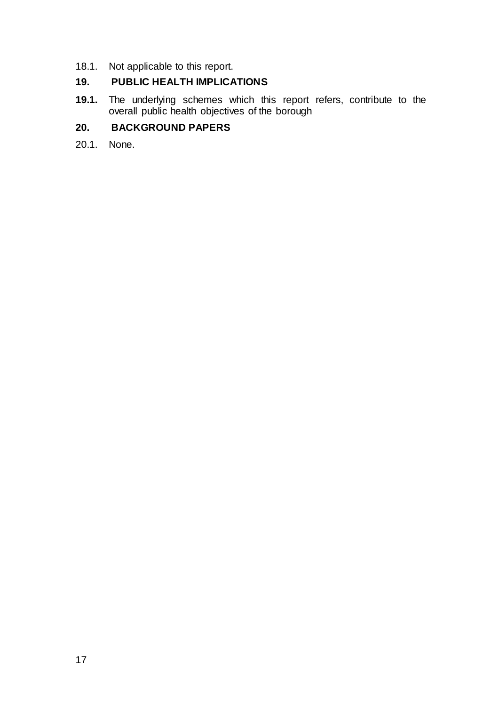18.1. Not applicable to this report.

## **19. PUBLIC HEALTH IMPLICATIONS**

**19.1.** The underlying schemes which this report refers, contribute to the overall public health objectives of the borough

# **20. BACKGROUND PAPERS**

20.1. None.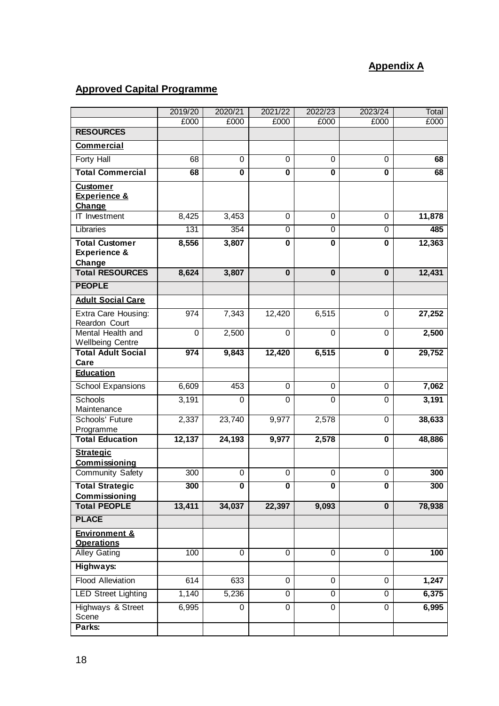# **Appendix A**

# **Approved Capital Programme**

|                                                      | 2019/20     | 2020/21                 | 2021/22                 | 2022/23                 | 2023/24                 | Total  |
|------------------------------------------------------|-------------|-------------------------|-------------------------|-------------------------|-------------------------|--------|
|                                                      | £000        | £000                    | £000                    | £000                    | £000                    | £000   |
| <b>RESOURCES</b>                                     |             |                         |                         |                         |                         |        |
| <b>Commercial</b>                                    |             |                         |                         |                         |                         |        |
| Forty Hall                                           | 68          | 0                       | 0                       | $\Omega$                | 0                       | 68     |
| <b>Total Commercial</b>                              | 68          | $\overline{\mathbf{0}}$ | $\overline{\mathbf{0}}$ | $\overline{\mathbf{0}}$ | $\overline{\mathbf{0}}$ | 68     |
| <b>Customer</b>                                      |             |                         |                         |                         |                         |        |
| <b>Experience &amp;</b>                              |             |                         |                         |                         |                         |        |
| Change<br>IT Investment                              | 8,425       | 3,453                   | 0                       | 0                       | 0                       | 11,878 |
| Libraries                                            | 131         | 354                     | $\overline{0}$          | $\overline{0}$          | $\overline{0}$          | 485    |
| <b>Total Customer</b>                                |             |                         | $\mathbf 0$             | $\mathbf 0$             |                         |        |
| <b>Experience &amp;</b>                              | 8,556       | 3,807                   |                         |                         | 0                       | 12,363 |
| Change                                               |             |                         |                         |                         |                         |        |
| <b>Total RESOURCES</b>                               | 8,624       | 3,807                   | $\mathbf 0$             | $\mathbf{0}$            | $\mathbf 0$             | 12,431 |
| <b>PEOPLE</b>                                        |             |                         |                         |                         |                         |        |
| <b>Adult Social Care</b>                             |             |                         |                         |                         |                         |        |
| Extra Care Housing:                                  | 974         | 7,343                   | 12,420                  | 6,515                   | $\mathbf 0$             | 27,252 |
| Reardon Court                                        |             |                         |                         |                         |                         |        |
| Mental Health and                                    | $\mathbf 0$ | 2,500                   | $\mathbf 0$             | $\mathbf 0$             | $\mathbf 0$             | 2,500  |
| <b>Wellbeing Centre</b><br><b>Total Adult Social</b> | 974         | 9,843                   | 12,420                  | 6,515                   | $\overline{\mathbf{0}}$ | 29,752 |
| Care                                                 |             |                         |                         |                         |                         |        |
| <b>Education</b>                                     |             |                         |                         |                         |                         |        |
| School Expansions                                    | 6,609       | 453                     | $\overline{0}$          | 0                       | 0                       | 7,062  |
| Schools                                              | 3,191       | $\Omega$                | 0                       | $\Omega$                | 0                       | 3,191  |
| Maintenance                                          |             |                         |                         |                         |                         |        |
| Schools' Future<br>Programme                         | 2,337       | 23,740                  | 9,977                   | 2,578                   | $\mathbf 0$             | 38,633 |
| <b>Total Education</b>                               | 12,137      | 24,193                  | 9,977                   | 2,578                   | $\mathbf 0$             | 48,886 |
| <b>Strategic</b>                                     |             |                         |                         |                         |                         |        |
| Commissioning                                        |             |                         |                         |                         |                         |        |
| <b>Community Safety</b>                              | 300         | $\mathsf 0$             | $\mathsf 0$             | $\pmb{0}$               | $\mathsf 0$             | 300    |
| <b>Total Strategic</b>                               | 300         | 0                       | 0                       | $\mathbf 0$             | 0                       | 300    |
| Commissioning<br><b>Total PEOPLE</b>                 | 13,411      | 34,037                  |                         |                         | $\mathbf 0$             |        |
|                                                      |             |                         | 22,397                  | 9,093                   |                         | 78,938 |
| <b>PLACE</b>                                         |             |                         |                         |                         |                         |        |
| <b>Environment &amp;</b><br><b>Operations</b>        |             |                         |                         |                         |                         |        |
| <b>Alley Gating</b>                                  | 100         | 0                       | 0                       | 0                       | 0                       | 100    |
| Highways:                                            |             |                         |                         |                         |                         |        |
| <b>Flood Alleviation</b>                             | 614         | 633                     | $\mathsf 0$             | 0                       | $\mathbf 0$             | 1,247  |
| <b>LED Street Lighting</b>                           | 1,140       | 5,236                   | $\overline{0}$          | 0                       | 0                       | 6,375  |
|                                                      |             |                         |                         |                         |                         |        |
| Highways & Street<br>Scene                           | 6,995       | 0                       | 0                       | $\mathbf 0$             | $\mathbf 0$             | 6,995  |
| Parks:                                               |             |                         |                         |                         |                         |        |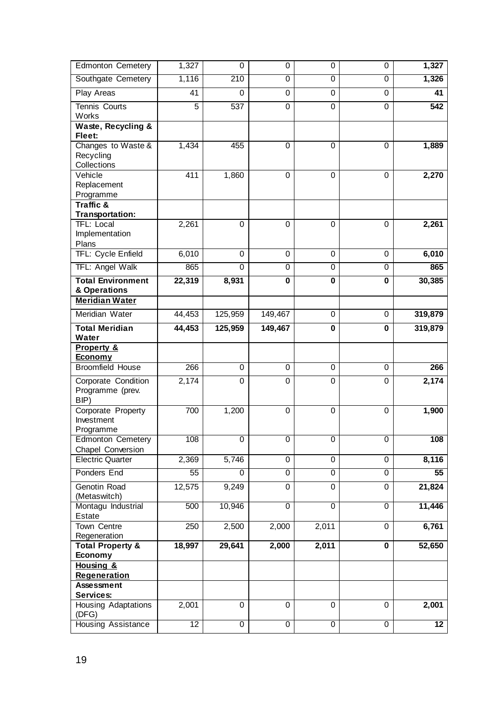| <b>Edmonton Cemetery</b>                                      | 1,327       | $\Omega$          | $\mathbf 0$    | 0              | $\mathbf 0$                 | 1,327              |
|---------------------------------------------------------------|-------------|-------------------|----------------|----------------|-----------------------------|--------------------|
| Southgate Cemetery                                            | 1,116       | 210               | $\overline{0}$ | $\overline{0}$ | 0                           | 1,326              |
| Play Areas                                                    | 41          | $\mathbf 0$       | 0              | 0              | $\mathbf 0$                 | 41                 |
| Tennis Courts<br>Works                                        | 5           | 537               | 0              | 0              | $\mathbf 0$                 | 542                |
| Waste, Recycling &<br>Fleet:                                  |             |                   |                |                |                             |                    |
| Changes to Waste &<br>Recycling<br>Collections                | 1,434       | 455               | $\overline{0}$ | 0              | $\overline{0}$              | 1,889              |
| Vehicle<br>Replacement<br>Programme                           | 411         | 1,860             | 0              | 0              | $\mathbf 0$                 | 2,270              |
| Traffic &<br>Transportation:                                  |             |                   |                |                |                             |                    |
| TFL: Local<br>Implementation<br>Plans                         | 2,261       | 0                 | 0              | 0              | $\mathbf 0$                 | 2,261              |
| TFL: Cycle Enfield                                            | 6,010       | 0                 | 0              | 0              | 0                           | 6,010              |
| <b>TFL: Angel Walk</b>                                        | 865         | $\Omega$          | 0              | 0              | $\boldsymbol{0}$            | 865                |
| <b>Total Environment</b><br>& Operations                      | 22,319      | 8,931             | 0              | 0              | $\pmb{0}$                   | 30,385             |
| <b>Meridian Water</b>                                         |             |                   |                |                |                             |                    |
| Meridian Water                                                | 44,453      | 125,959           | 149,467        | 0              | 0                           | 319,879            |
| <b>Total Meridian</b><br>Water                                | 44,453      | 125,959           | 149,467        | $\mathbf 0$    | $\bf{0}$                    | 319,879            |
| <b>Property &amp;</b><br><u>Economy</u>                       |             |                   |                |                |                             |                    |
| <b>Broomfield House</b>                                       | 266         | 0                 | $\overline{0}$ | 0              | 0                           | 266                |
| Corporate Condition<br>Programme (prev.<br>BIP)               | 2,174       | 0                 | 0              | 0              | $\boldsymbol{0}$            | 2,174              |
| Corporate Property<br>Investment<br>Programme                 | 700         | 1,200             | 0              | 0              | $\mathbf 0$                 | 1,900              |
|                                                               |             |                   |                |                |                             |                    |
| <b>Edmonton Cemetery</b>                                      | 108         | $\overline{0}$    | $\overline{0}$ | $\overline{0}$ | $\overline{0}$              | 108                |
| Chapel Conversion                                             |             |                   | 0              | 0              |                             |                    |
| <b>Electric Quarter</b><br>Ponders End                        | 2,369<br>55 | 5,746<br>$\Omega$ | $\overline{0}$ | $\overline{0}$ | $\pmb{0}$<br>$\overline{0}$ | 8,116<br>55        |
| Genotin Road                                                  | 12,575      | 9,249             | 0              | 0              | $\pmb{0}$                   | 21,824             |
| (Metaswitch)<br>Montagu Industrial                            | 500         | 10,946            | $\overline{0}$ | $\overline{0}$ | $\overline{0}$              | 11,446             |
| Estate                                                        |             |                   |                |                |                             |                    |
| Town Centre                                                   | 250         | 2,500             | 2,000          | 2,011          | 0                           | 6,761              |
| Regeneration<br><b>Total Property &amp;</b><br><b>Economy</b> | 18,997      | 29,641            | 2,000          | 2,011          | $\mathbf 0$                 | 52,650             |
| Housing &<br><b>Regeneration</b>                              |             |                   |                |                |                             |                    |
| <b>Assessment</b>                                             |             |                   |                |                |                             |                    |
| Services:<br><b>Housing Adaptations</b><br>(DFG)              | 2,001       | $\mathbf 0$       | $\mathbf 0$    | $\mathbf 0$    | 0                           | $\overline{2,}001$ |